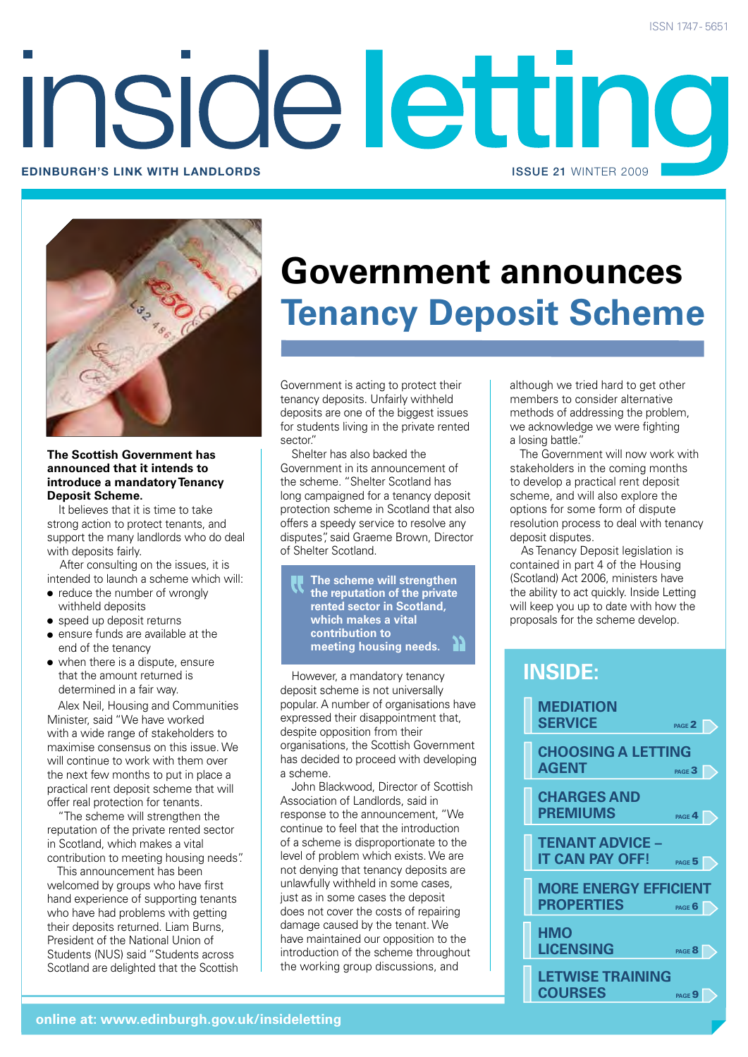# inside letting **Edinburgh's link with landlords** issue 21 WINTER 2009



#### **The Scottish Government has announced that it intends to introduce a mandatory Tenancy Deposit Scheme.**

It believes that it is time to take strong action to protect tenants, and support the many landlords who do deal with deposits fairly.

After consulting on the issues, it is intended to launch a scheme which will:

- $\bullet$  reduce the number of wrongly withheld deposits
- speed up deposit returns
- $\bullet$  ensure funds are available at the end of the tenancy
- $\bullet$  when there is a dispute, ensure that the amount returned is determined in a fair way.

Alex Neil, Housing and Communities Minister, said "We have worked with a wide range of stakeholders to maximise consensus on this issue. We will continue to work with them over the next few months to put in place a practical rent deposit scheme that will offer real protection for tenants.

"The scheme will strengthen the reputation of the private rented sector in Scotland, which makes a vital contribution to meeting housing needs".

This announcement has been welcomed by groups who have first hand experience of supporting tenants who have had problems with getting their deposits returned. Liam Burns, President of the National Union of Students (NUS) said "Students across Scotland are delighted that the Scottish

## **Government announces Tenancy Deposit Scheme**

Government is acting to protect their tenancy deposits. Unfairly withheld deposits are one of the biggest issues for students living in the private rented sector."

Shelter has also backed the Government in its announcement of the scheme. "Shelter Scotland has long campaigned for a tenancy deposit protection scheme in Scotland that also offers a speedy service to resolve any disputes", said Graeme Brown, Director of Shelter Scotland.

**The scheme will strengthen the reputation of the private rented sector in Scotland, which makes a vital contribution to meeting housing needs.**

However, a mandatory tenancy deposit scheme is not universally popular. A number of organisations have expressed their disappointment that, despite opposition from their organisations, the Scottish Government has decided to proceed with developing a scheme.

John Blackwood, Director of Scottish Association of Landlords, said in response to the announcement, "We continue to feel that the introduction of a scheme is disproportionate to the level of problem which exists. We are not denying that tenancy deposits are unlawfully withheld in some cases, just as in some cases the deposit does not cover the costs of repairing damage caused by the tenant. We have maintained our opposition to the introduction of the scheme throughout the working group discussions, and

although we tried hard to get other members to consider alternative methods of addressing the problem, we acknowledge we were fighting a losing battle."

The Government will now work with stakeholders in the coming months to develop a practical rent deposit scheme, and will also explore the options for some form of dispute resolution process to deal with tenancy deposit disputes.

As Tenancy Deposit legislation is contained in part 4 of the Housing (Scotland) Act 2006, ministers have the ability to act quickly. Inside Letting will keep you up to date with how the proposals for the scheme develop.

### **inside:**

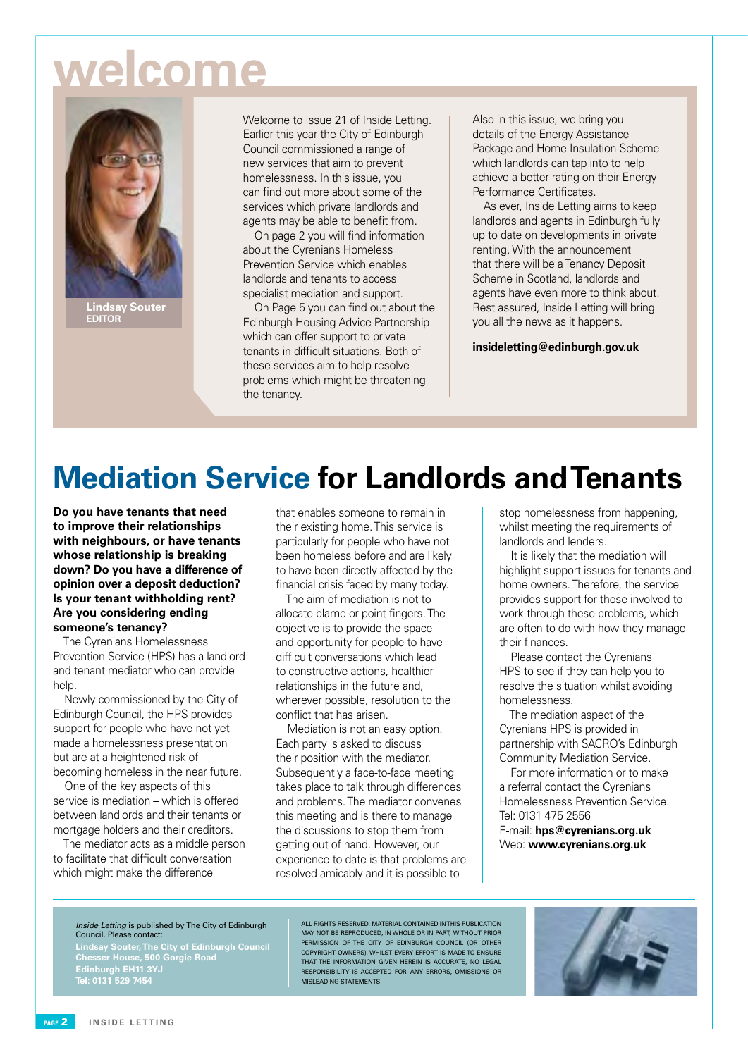# **welcome**



**Lindsay Souter Editor**

Welcome to Issue 21 of Inside Letting. Earlier this year the City of Edinburgh Council commissioned a range of new services that aim to prevent homelessness. In this issue, you can find out more about some of the services which private landlords and agents may be able to benefit from.

On page 2 you will find information about the Cyrenians Homeless Prevention Service which enables landlords and tenants to access specialist mediation and support.

On Page 5 you can find out about the Edinburgh Housing Advice Partnership which can offer support to private tenants in difficult situations. Both of these services aim to help resolve problems which might be threatening the tenancy.

Also in this issue, we bring you details of the Energy Assistance Package and Home Insulation Scheme which landlords can tap into to help achieve a better rating on their Energy Performance Certificates.

As ever, Inside Letting aims to keep landlords and agents in Edinburgh fully up to date on developments in private renting. With the announcement that there will be a Tenancy Deposit Scheme in Scotland, landlords and agents have even more to think about. Rest assured, Inside Letting will bring you all the news as it happens.

**insideletting@edinburgh.gov.uk**

## **Mediation Service for Landlords and Tenants**

**Do you have tenants that need to improve their relationships with neighbours, or have tenants whose relationship is breaking down? Do you have a difference of opinion over a deposit deduction? Is your tenant withholding rent? Are you considering ending someone's tenancy?**

The Cyrenians Homelessness Prevention Service (HPS) has a landlord and tenant mediator who can provide help.

Newly commissioned by the City of Edinburgh Council, the HPS provides support for people who have not yet made a homelessness presentation but are at a heightened risk of becoming homeless in the near future.

One of the key aspects of this service is mediation – which is offered between landlords and their tenants or mortgage holders and their creditors.

The mediator acts as a middle person to facilitate that difficult conversation which might make the difference

that enables someone to remain in their existing home. This service is particularly for people who have not been homeless before and are likely to have been directly affected by the financial crisis faced by many today.

The aim of mediation is not to allocate blame or point fingers. The objective is to provide the space and opportunity for people to have difficult conversations which lead to constructive actions, healthier relationships in the future and, wherever possible, resolution to the conflict that has arisen.

Mediation is not an easy option. Each party is asked to discuss their position with the mediator. Subsequently a face-to-face meeting takes place to talk through differences and problems. The mediator convenes this meeting and is there to manage the discussions to stop them from getting out of hand. However, our experience to date is that problems are resolved amicably and it is possible to

stop homelessness from happening, whilst meeting the requirements of landlords and lenders.

It is likely that the mediation will highlight support issues for tenants and home owners. Therefore, the service provides support for those involved to work through these problems, which are often to do with how they manage their finances.

Please contact the Cyrenians HPS to see if they can help you to resolve the situation whilst avoiding homelessness.

The mediation aspect of the Cyrenians HPS is provided in partnership with SACRO's Edinburgh Community Mediation Service.

For more information or to make a referral contact the Cyrenians Homelessness Prevention Service. Tel: 0131 475 2556

E-mail: **hps@cyrenians.org.uk** Web: **www.cyrenians.org.uk**

#### Inside Letting is published by The City of Edinburgh Council. Please contact:

**Lindsay Souter, The City of Edinburgh Council Chesser House, 500 Gorgie Road Edinburgh EH11 3YJ**

All rights reserved. Material contained in this publication MAY NOT BE REPRODUCED, IN WHOLE OR IN PART, WITHOUT PRIOR permission of the City of Edinburgh Council (OR OTHER COPYRIGHT OWNERS). WHILST EVERY EFFORT IS MADE TO ENSURE THAT THE INFORMATION GIVEN HEREIN IS ACCURATE, NO LEGAL responsibility is accepted for any errors, omissions or misleading statements.

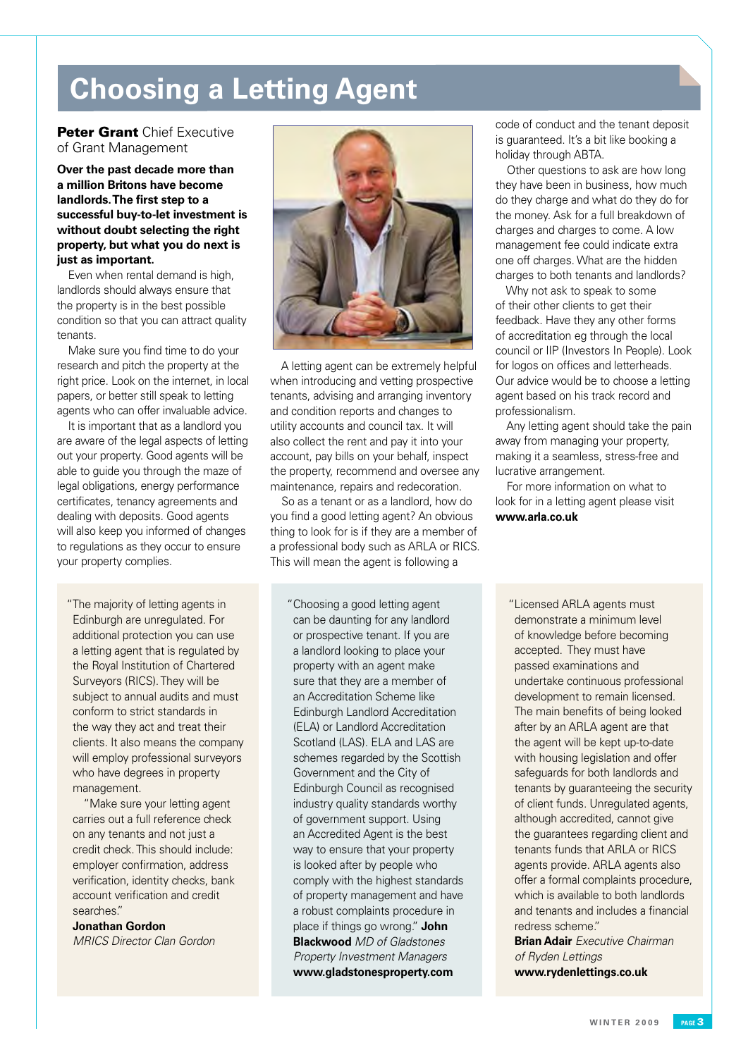## **Choosing a Letting Agent**

#### **Peter Grant Chief Executive** of Grant Management

**Over the past decade more than a million Britons have become landlords. The first step to a successful buy-to-let investment is without doubt selecting the right property, but what you do next is just as important.** 

Even when rental demand is high, landlords should always ensure that the property is in the best possible condition so that you can attract quality tenants.

Make sure you find time to do your research and pitch the property at the right price. Look on the internet, in local papers, or better still speak to letting agents who can offer invaluable advice.

It is important that as a landlord you are aware of the legal aspects of letting out your property. Good agents will be able to guide you through the maze of legal obligations, energy performance certificates, tenancy agreements and dealing with deposits. Good agents will also keep you informed of changes to regulations as they occur to ensure your property complies.

"The majority of letting agents in Edinburgh are unregulated. For additional protection you can use a letting agent that is regulated by the Royal Institution of Chartered Surveyors (RICS). They will be subject to annual audits and must conform to strict standards in the way they act and treat their clients. It also means the company will employ professional surveyors who have degrees in property management.

"Make sure your letting agent carries out a full reference check on any tenants and not just a credit check. This should include: employer confirmation, address verification, identity checks, bank account verification and credit searches."

**Jonathan Gordon** *MRICS Director Clan Gordon*



A letting agent can be extremely helpful when introducing and vetting prospective tenants, advising and arranging inventory and condition reports and changes to utility accounts and council tax. It will also collect the rent and pay it into your account, pay bills on your behalf, inspect the property, recommend and oversee any maintenance, repairs and redecoration.

So as a tenant or as a landlord, how do you find a good letting agent? An obvious thing to look for is if they are a member of a professional body such as ARLA or RICS. This will mean the agent is following a

"Choosing a good letting agent can be daunting for any landlord or prospective tenant. If you are a landlord looking to place your property with an agent make sure that they are a member of an Accreditation Scheme like Edinburgh Landlord Accreditation (ELA) or Landlord Accreditation Scotland (LAS). ELA and LAS are schemes regarded by the Scottish Government and the City of Edinburgh Council as recognised industry quality standards worthy of government support. Using an Accredited Agent is the best way to ensure that your property is looked after by people who comply with the highest standards of property management and have a robust complaints procedure in place if things go wrong." **John Blackwood** *MD of Gladstones Property Investment Managers* **www.gladstonesproperty.com**

code of conduct and the tenant deposit is guaranteed. It's a bit like booking a holiday through ABTA.

Other questions to ask are how long they have been in business, how much do they charge and what do they do for the money. Ask for a full breakdown of charges and charges to come. A low management fee could indicate extra one off charges. What are the hidden charges to both tenants and landlords?

Why not ask to speak to some of their other clients to get their feedback. Have they any other forms of accreditation eg through the local council or IIP (Investors In People). Look for logos on offices and letterheads. Our advice would be to choose a letting agent based on his track record and professionalism.

Any letting agent should take the pain away from managing your property, making it a seamless, stress-free and lucrative arrangement.

For more information on what to look for in a letting agent please visit **www.arla.co.uk** 

"Licensed ARLA agents must demonstrate a minimum level of knowledge before becoming accepted. They must have passed examinations and undertake continuous professional development to remain licensed. The main benefits of being looked after by an ARLA agent are that the agent will be kept up-to-date with housing legislation and offer safeguards for both landlords and tenants by guaranteeing the security of client funds. Unregulated agents, although accredited, cannot give the guarantees regarding client and tenants funds that ARLA or RICS agents provide. ARLA agents also offer a formal complaints procedure, which is available to both landlords and tenants and includes a financial redress scheme."

**Brian Adair** *Executive Chairman of Ryden Lettings*  **www.rydenlettings.co.uk**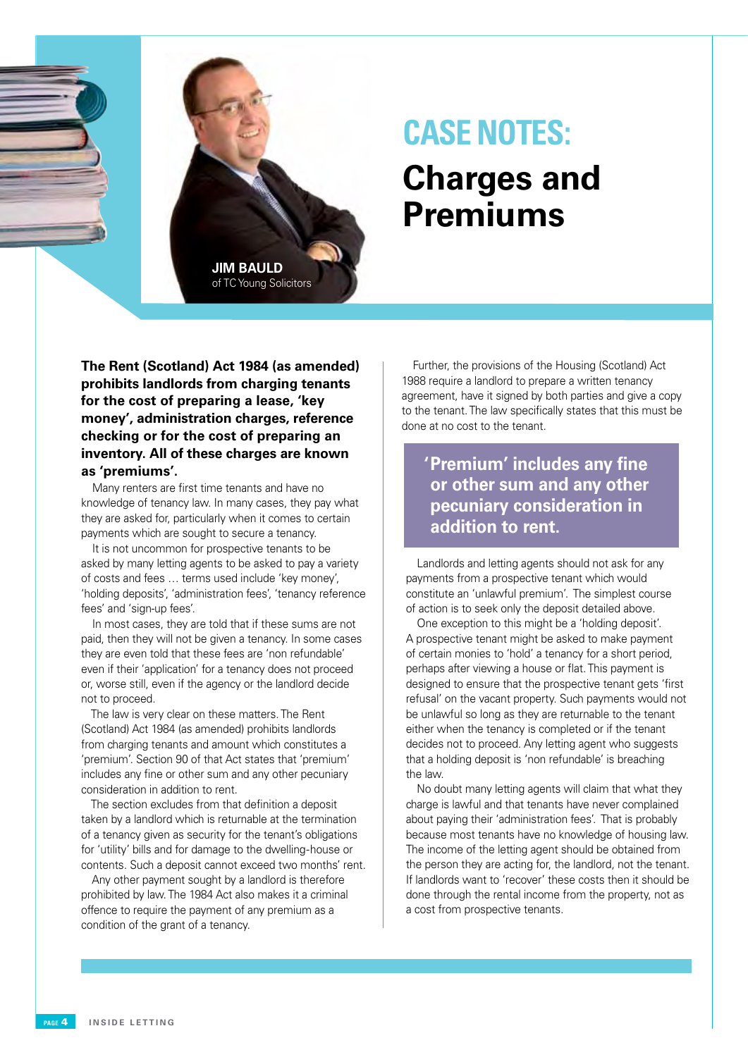

## **CASE NOTES:**

## **Charges and Premiums**

**The Rent (Scotland) Act 1984 (as amended) prohibits landlords from charging tenants for the cost of preparing a lease, 'key money', administration charges, reference checking or for the cost of preparing an inventory. All of these charges are known as 'premiums'.**

Many renters are first time tenants and have no knowledge of tenancy law. In many cases, they pay what they are asked for, particularly when it comes to certain payments which are sought to secure a tenancy.

It is not uncommon for prospective tenants to be asked by many letting agents to be asked to pay a variety of costs and fees … terms used include 'key money', 'holding deposits', 'administration fees', 'tenancy reference fees' and 'sign-up fees'.

In most cases, they are told that if these sums are not paid, then they will not be given a tenancy. In some cases they are even told that these fees are 'non refundable' even if their 'application' for a tenancy does not proceed or, worse still, even if the agency or the landlord decide not to proceed.

The law is very clear on these matters. The Rent (Scotland) Act 1984 (as amended) prohibits landlords from charging tenants and amount which constitutes a 'premium'. Section 90 of that Act states that 'premium' includes any fine or other sum and any other pecuniary consideration in addition to rent.

The section excludes from that definition a deposit taken by a landlord which is returnable at the termination of a tenancy given as security for the tenant's obligations for 'utility' bills and for damage to the dwelling-house or contents. Such a deposit cannot exceed two months' rent.

Any other payment sought by a landlord is therefore prohibited by law. The 1984 Act also makes it a criminal offence to require the payment of any premium as a condition of the grant of a tenancy.

Further, the provisions of the Housing (Scotland) Act 1988 require a landlord to prepare a written tenancy agreement, have it signed by both parties and give a copy to the tenant. The law specifically states that this must be done at no cost to the tenant.

**'Premium' includes any fine or other sum and any other pecuniary consideration in addition to rent.**

Landlords and letting agents should not ask for any payments from a prospective tenant which would constitute an 'unlawful premium'. The simplest course of action is to seek only the deposit detailed above.

One exception to this might be a 'holding deposit'. A prospective tenant might be asked to make payment of certain monies to 'hold' a tenancy for a short period, perhaps after viewing a house or flat. This payment is designed to ensure that the prospective tenant gets 'first refusal' on the vacant property. Such payments would not be unlawful so long as they are returnable to the tenant either when the tenancy is completed or if the tenant decides not to proceed. Any letting agent who suggests that a holding deposit is 'non refundable' is breaching the law.

No doubt many letting agents will claim that what they charge is lawful and that tenants have never complained about paying their 'administration fees'. That is probably because most tenants have no knowledge of housing law. The income of the letting agent should be obtained from the person they are acting for, the landlord, not the tenant. If landlords want to 'recover' these costs then it should be done through the rental income from the property, not as a cost from prospective tenants.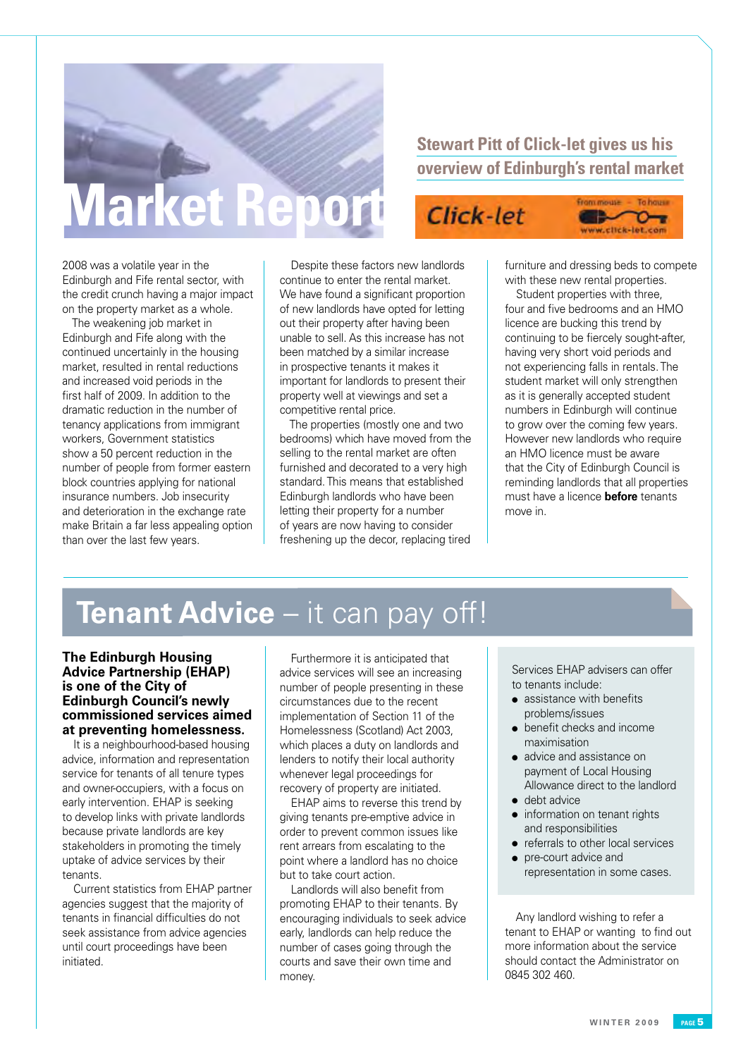# **Market Report**

### **Stewart Pitt of Click-let gives us his overview of Edinburgh's rental market**

Click-let

2008 was a volatile year in the Edinburgh and Fife rental sector, with the credit crunch having a major impact on the property market as a whole.

The weakening job market in Edinburgh and Fife along with the continued uncertainly in the housing market, resulted in rental reductions and increased void periods in the first half of 2009. In addition to the dramatic reduction in the number of tenancy applications from immigrant workers, Government statistics show a 50 percent reduction in the number of people from former eastern block countries applying for national insurance numbers. Job insecurity and deterioration in the exchange rate make Britain a far less appealing option than over the last few years.

Despite these factors new landlords continue to enter the rental market. We have found a significant proportion of new landlords have opted for letting out their property after having been unable to sell. As this increase has not been matched by a similar increase in prospective tenants it makes it important for landlords to present their property well at viewings and set a competitive rental price.

The properties (mostly one and two bedrooms) which have moved from the selling to the rental market are often furnished and decorated to a very high standard. This means that established Edinburgh landlords who have been letting their property for a number of years are now having to consider freshening up the decor, replacing tired

furniture and dressing beds to compete with these new rental properties.

From mouse -

www.click-let.com

To house

ᡐᢦ

Student properties with three, four and five bedrooms and an HMO licence are bucking this trend by continuing to be fiercely sought-after, having very short void periods and not experiencing falls in rentals. The student market will only strengthen as it is generally accepted student numbers in Edinburgh will continue to grow over the coming few years. However new landlords who require an HMO licence must be aware that the City of Edinburgh Council is reminding landlords that all properties must have a licence **before** tenants move in.

## **Tenant Advice** – it can pay off!

#### **The Edinburgh Housing Advice Partnership (EHAP) is one of the City of Edinburgh Council's newly commissioned services aimed at preventing homelessness.**

It is a neighbourhood-based housing advice, information and representation service for tenants of all tenure types and owner-occupiers, with a focus on early intervention. EHAP is seeking to develop links with private landlords because private landlords are key stakeholders in promoting the timely uptake of advice services by their tenants.

Current statistics from EHAP partner agencies suggest that the majority of tenants in financial difficulties do not seek assistance from advice agencies until court proceedings have been initiated.

Furthermore it is anticipated that advice services will see an increasing number of people presenting in these circumstances due to the recent implementation of Section 11 of the Homelessness (Scotland) Act 2003, which places a duty on landlords and lenders to notify their local authority whenever legal proceedings for recovery of property are initiated.

EHAP aims to reverse this trend by giving tenants pre-emptive advice in order to prevent common issues like rent arrears from escalating to the point where a landlord has no choice but to take court action.

Landlords will also benefit from promoting EHAP to their tenants. By encouraging individuals to seek advice early, landlords can help reduce the number of cases going through the courts and save their own time and money.

Services EHAP advisers can offer to tenants include:

- $\bullet$  assistance with benefits problems/issues
- $\bullet$  benefit checks and income maximisation
- advice and assistance on payment of Local Housing Allowance direct to the landlord
- $\bullet$  debt advice
- information on tenant rights and responsibilities
- $\bullet$  referrals to other local services
- pre-court advice and representation in some cases.

Any landlord wishing to refer a tenant to EHAP or wanting to find out more information about the service should contact the Administrator on 0845 302 460.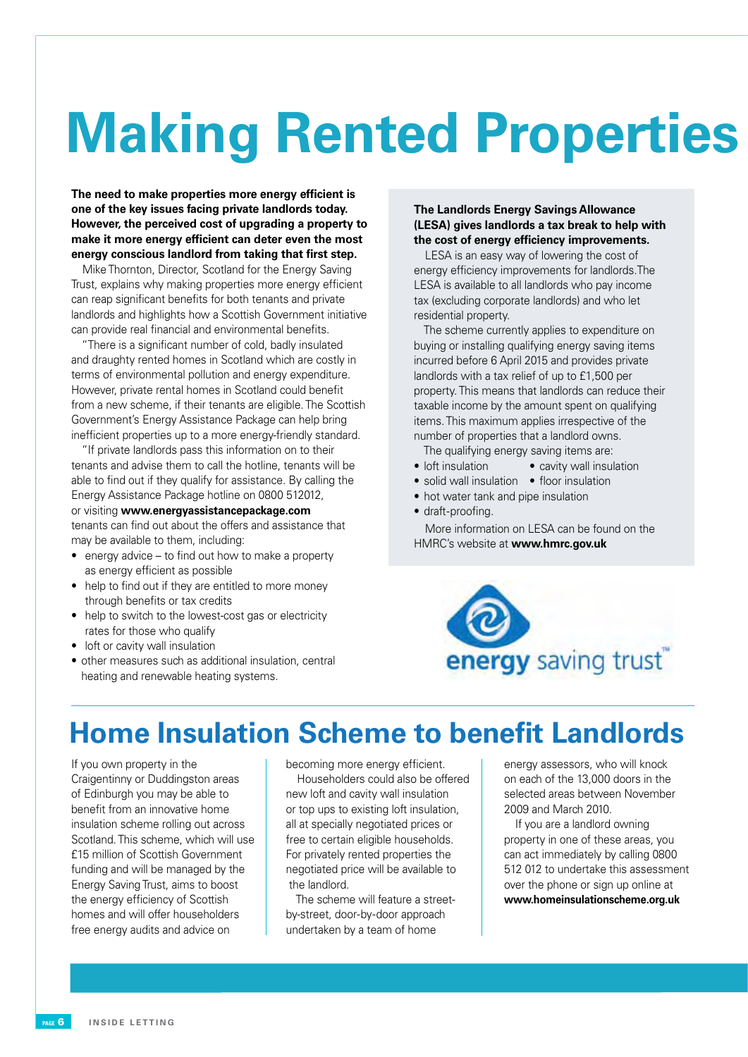# **Making Rented Properties**

**The need to make properties more energy efficient is one of the key issues facing private landlords today. However, the perceived cost of upgrading a property to make it more energy efficient can deter even the most energy conscious landlord from taking that first step.**

Mike Thornton, Director, Scotland for the Energy Saving Trust, explains why making properties more energy efficient can reap significant benefits for both tenants and private landlords and highlights how a Scottish Government initiative can provide real financial and environmental benefits.

"There is a significant number of cold, badly insulated and draughty rented homes in Scotland which are costly in terms of environmental pollution and energy expenditure. However, private rental homes in Scotland could benefit from a new scheme, if their tenants are eligible. The Scottish Government's Energy Assistance Package can help bring inefficient properties up to a more energy-friendly standard.

"If private landlords pass this information on to their tenants and advise them to call the hotline, tenants will be able to find out if they qualify for assistance. By calling the Energy Assistance Package hotline on 0800 512012, or visiting **www.energyassistancepackage.com** tenants can find out about the offers and assistance that may be available to them, including:

- energy advice to find out how to make a property as energy efficient as possible
- help to find out if they are entitled to more money through benefits or tax credits
- help to switch to the lowest-cost gas or electricity rates for those who qualify
- loft or cavity wall insulation
- other measures such as additional insulation, central heating and renewable heating systems.

#### **The Landlords Energy Savings Allowance (LESA) gives landlords a tax break to help with the cost of energy efficiency improvements.**

LESA is an easy way of lowering the cost of energy efficiency improvements for landlords.The LESA is available to all landlords who pay income tax (excluding corporate landlords) and who let residential property.

The scheme currently applies to expenditure on buying or installing qualifying energy saving items incurred before 6 April 2015 and provides private landlords with a tax relief of up to £1,500 per property. This means that landlords can reduce their taxable income by the amount spent on qualifying items.This maximum applies irrespective of the number of properties that a landlord owns.

The qualifying energy saving items are:

- loft insulation cavity wall insulation
- solid wall insulation floor insulation
- hot water tank and pipe insulation
- draft-proofing.

More information on LESA can be found on the HMRC's website at **www.hmrc.gov.uk**



## **Home Insulation Scheme to benefit Landlords**

If you own property in the Craigentinny or Duddingston areas of Edinburgh you may be able to benefit from an innovative home insulation scheme rolling out across Scotland. This scheme, which will use £15 million of Scottish Government funding and will be managed by the Energy Saving Trust, aims to boost the energy efficiency of Scottish homes and will offer householders free energy audits and advice on

becoming more energy efficient.

Householders could also be offered new loft and cavity wall insulation or top ups to existing loft insulation, all at specially negotiated prices or free to certain eligible households. For privately rented properties the negotiated price will be available to the landlord.

The scheme will feature a streetby-street, door-by-door approach undertaken by a team of home

energy assessors, who will knock on each of the 13,000 doors in the selected areas between November 2009 and March 2010.

If you are a landlord owning property in one of these areas, you can act immediately by calling 0800 512 012 to undertake this assessment over the phone or sign up online at **www.homeinsulationscheme.org.uk**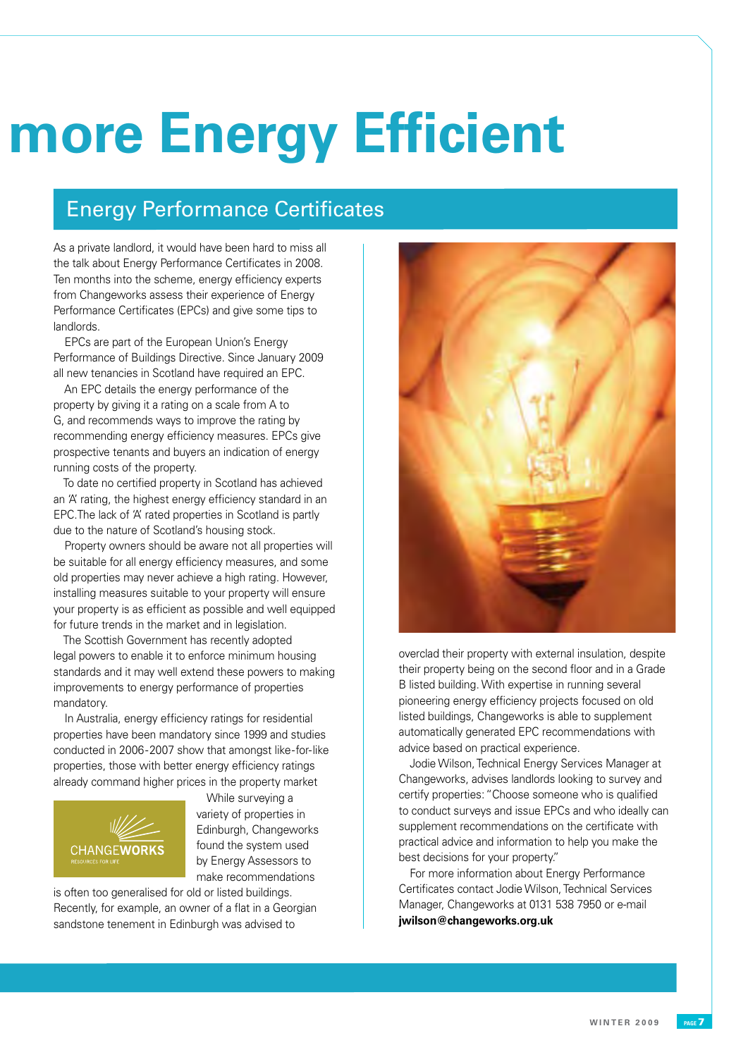# **More Energy Efficient**

### Energy Performance Certificates

As a private landlord, it would have been hard to miss all the talk about Energy Performance Certificates in 2008. Ten months into the scheme, energy efficiency experts from Changeworks assess their experience of Energy Performance Certificates (EPCs) and give some tips to landlords.

EPCs are part of the European Union's Energy Performance of Buildings Directive. Since January 2009 all new tenancies in Scotland have required an EPC.

An EPC details the energy performance of the property by giving it a rating on a scale from A to G, and recommends ways to improve the rating by recommending energy efficiency measures. EPCs give prospective tenants and buyers an indication of energy running costs of the property.

To date no certified property in Scotland has achieved an 'A' rating, the highest energy efficiency standard in an EPC.The lack of 'A' rated properties in Scotland is partly due to the nature of Scotland's housing stock.

Property owners should be aware not all properties will be suitable for all energy efficiency measures, and some old properties may never achieve a high rating. However, installing measures suitable to your property will ensure your property is as efficient as possible and well equipped for future trends in the market and in legislation.

The Scottish Government has recently adopted legal powers to enable it to enforce minimum housing standards and it may well extend these powers to making improvements to energy performance of properties mandatory.

In Australia, energy efficiency ratings for residential properties have been mandatory since 1999 and studies conducted in 2006-2007 show that amongst like-for-like properties, those with better energy efficiency ratings already command higher prices in the property market



While surveying a variety of properties in Edinburgh, Changeworks found the system used by Energy Assessors to make recommendations

is often too generalised for old or listed buildings. Recently, for example, an owner of a flat in a Georgian sandstone tenement in Edinburgh was advised to



overclad their property with external insulation, despite their property being on the second floor and in a Grade B listed building. With expertise in running several pioneering energy efficiency projects focused on old listed buildings, Changeworks is able to supplement automatically generated EPC recommendations with advice based on practical experience.

Jodie Wilson, Technical Energy Services Manager at Changeworks, advises landlords looking to survey and certify properties: "Choose someone who is qualified to conduct surveys and issue EPCs and who ideally can supplement recommendations on the certificate with practical advice and information to help you make the best decisions for your property."

For more information about Energy Performance Certificates contact Jodie Wilson, Technical Services Manager, Changeworks at 0131 538 7950 or e-mail **jwilson@changeworks.org.uk**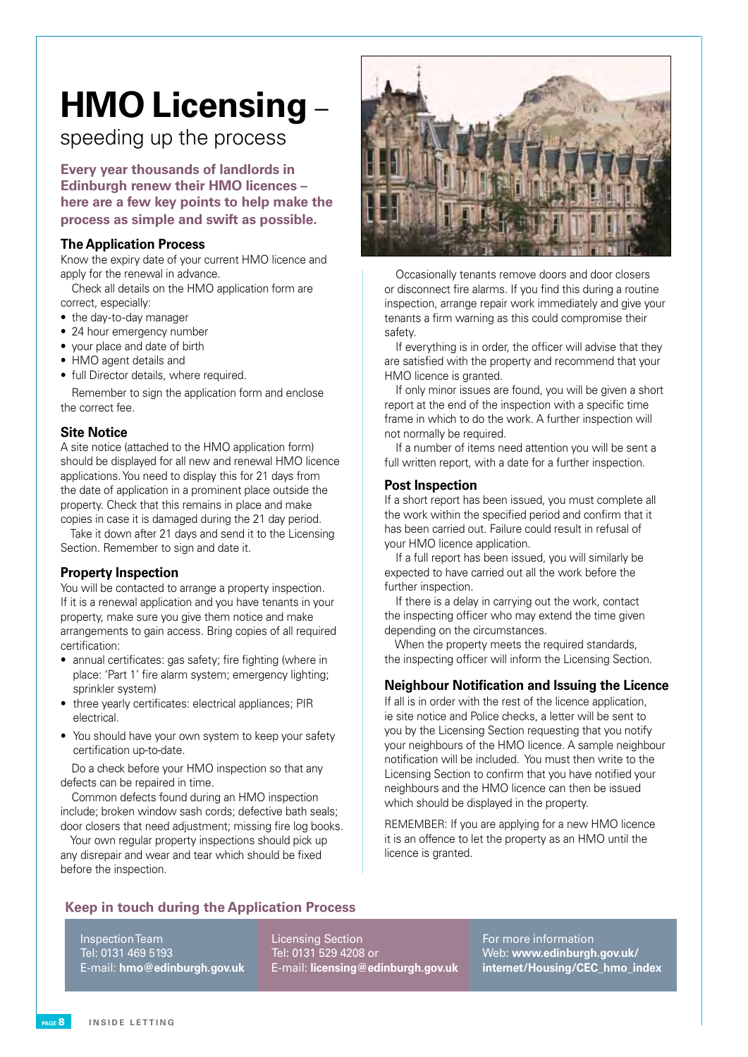## **HMO Licensing** –

speeding up the process

**Every year thousands of landlords in Edinburgh renew their HMO licences – here are a few key points to help make the process as simple and swift as possible.**

#### **The Application Process**

Know the expiry date of your current HMO licence and apply for the renewal in advance.

Check all details on the HMO application form are correct, especially:

- the day-to-day manager
- 24 hour emergency number
- vour place and date of birth
- HMO agent details and
- full Director details, where required.

Remember to sign the application form and enclose the correct fee.

#### **Site Notice**

A site notice (attached to the HMO application form) should be displayed for all new and renewal HMO licence applications. You need to display this for 21 days from the date of application in a prominent place outside the property. Check that this remains in place and make copies in case it is damaged during the 21 day period.

Take it down after 21 days and send it to the Licensing Section. Remember to sign and date it.

#### **Property Inspection**

You will be contacted to arrange a property inspection. If it is a renewal application and you have tenants in your property, make sure you give them notice and make arrangements to gain access. Bring copies of all required certification:

- • annual certificates: gas safety; fire fighting (where in place: 'Part 1' fire alarm system; emergency lighting; sprinkler system)
- three yearly certificates: electrical appliances; PIR electrical.
- You should have your own system to keep your safety certification up-to-date.

Do a check before your HMO inspection so that any defects can be repaired in time.

Common defects found during an HMO inspection include; broken window sash cords; defective bath seals; door closers that need adjustment; missing fire log books.

Your own regular property inspections should pick up any disrepair and wear and tear which should be fixed before the inspection.



Occasionally tenants remove doors and door closers or disconnect fire alarms. If you find this during a routine inspection, arrange repair work immediately and give your tenants a firm warning as this could compromise their safety.

If everything is in order, the officer will advise that they are satisfied with the property and recommend that your HMO licence is granted.

If only minor issues are found, you will be given a short report at the end of the inspection with a specific time frame in which to do the work. A further inspection will not normally be required.

If a number of items need attention you will be sent a full written report, with a date for a further inspection.

#### **Post Inspection**

If a short report has been issued, you must complete all the work within the specified period and confirm that it has been carried out. Failure could result in refusal of your HMO licence application.

If a full report has been issued, you will similarly be expected to have carried out all the work before the further inspection.

If there is a delay in carrying out the work, contact the inspecting officer who may extend the time given depending on the circumstances.

When the property meets the required standards, the inspecting officer will inform the Licensing Section.

#### **Neighbour Notification and Issuing the Licence**

If all is in order with the rest of the licence application, ie site notice and Police checks, a letter will be sent to you by the Licensing Section requesting that you notify your neighbours of the HMO licence. A sample neighbour notification will be included. You must then write to the Licensing Section to confirm that you have notified your neighbours and the HMO licence can then be issued which should be displayed in the property.

REMEMBER: If you are applying for a new HMO licence it is an offence to let the property as an HMO until the licence is granted.

#### **Keep in touch during the Application Process**

Inspection Team Tel: 0131 469 5193 E-mail: **hmo@edinburgh.gov.uk** Licensing Section Tel: 0131 529 4208 or E-mail: **licensing@edinburgh.gov.uk**

For more information Web: **www.edinburgh.gov.uk/ internet/Housing/CEC\_hmo\_index**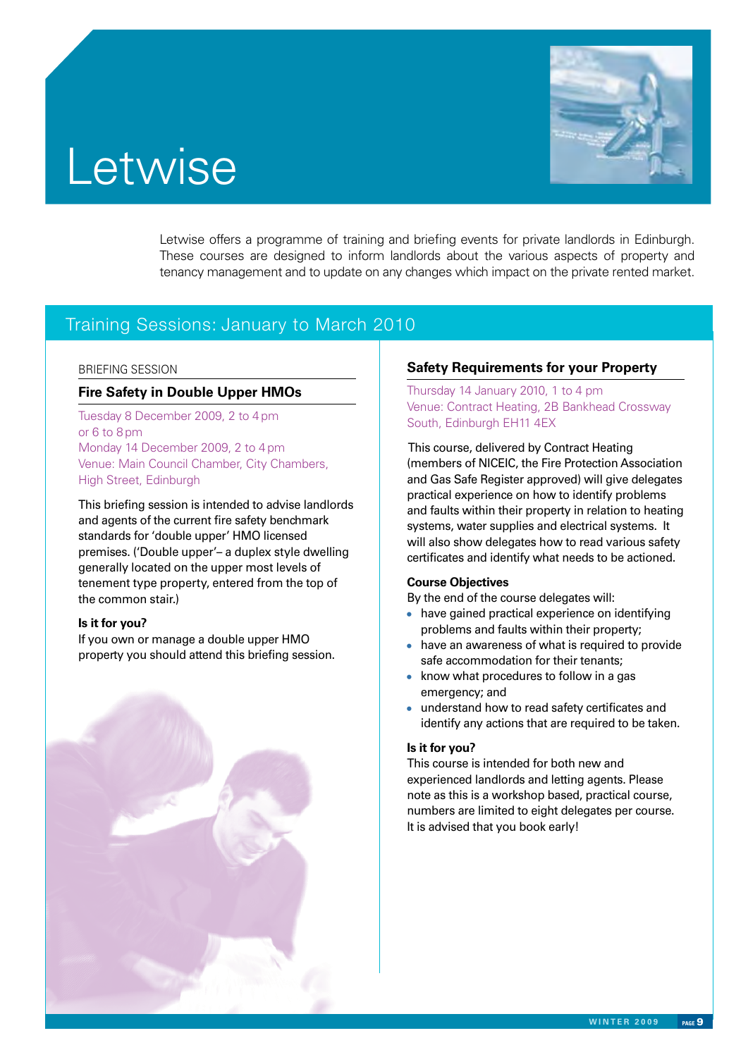# **Letwise**



Letwise offers a programme of training and briefing events for private landlords in Edinburgh. These courses are designed to inform landlords about the various aspects of property and tenancy management and to update on any changes which impact on the private rented market.

### Training Sessions: January to March 2010

#### BRIEFING SESSION

#### **Fire Safety in Double Upper HMOs**

Tuesday 8 December 2009, 2 to 4 pm or 6 to 8 pm Monday 14 December 2009, 2 to 4 pm Venue: Main Council Chamber, City Chambers, High Street, Edinburgh

This briefing session is intended to advise landlords and agents of the current fire safety benchmark standards for 'double upper' HMO licensed premises. ('Double upper'– a duplex style dwelling generally located on the upper most levels of tenement type property, entered from the top of the common stair.)

#### **Is it for you?**

If you own or manage a double upper HMO property you should attend this briefing session.



#### **Safety Requirements for your Property**

Thursday 14 January 2010, 1 to 4 pm Venue: Contract Heating, 2B Bankhead Crossway South, Edinburgh EH11 4EX

 This course, delivered by Contract Heating (members of NICEIC , the Fire Protection Association and Gas Safe Register approved) will give delegates practical experience on how to identify problems and faults within their property in relation to heating systems, water supplies and electrical systems. It will also show delegates how to read various safety certificates and identify what needs to be actioned.

#### **Course Objectives**

By the end of the course delegates will:

- have gained practical experience on identifying problems and faults within their property;
- have an awareness of what is required to provide safe accommodation for their tenants;
- know what procedures to follow in a gas emergency; and
- understand how to read safety certificates and identify any actions that are required to be taken.

#### **Is it for you?**

This course is intended for both new and experienced landlords and letting agents. Please note as this is a workshop based, practical course, numbers are limited to eight delegates per course. It is advised that you book early!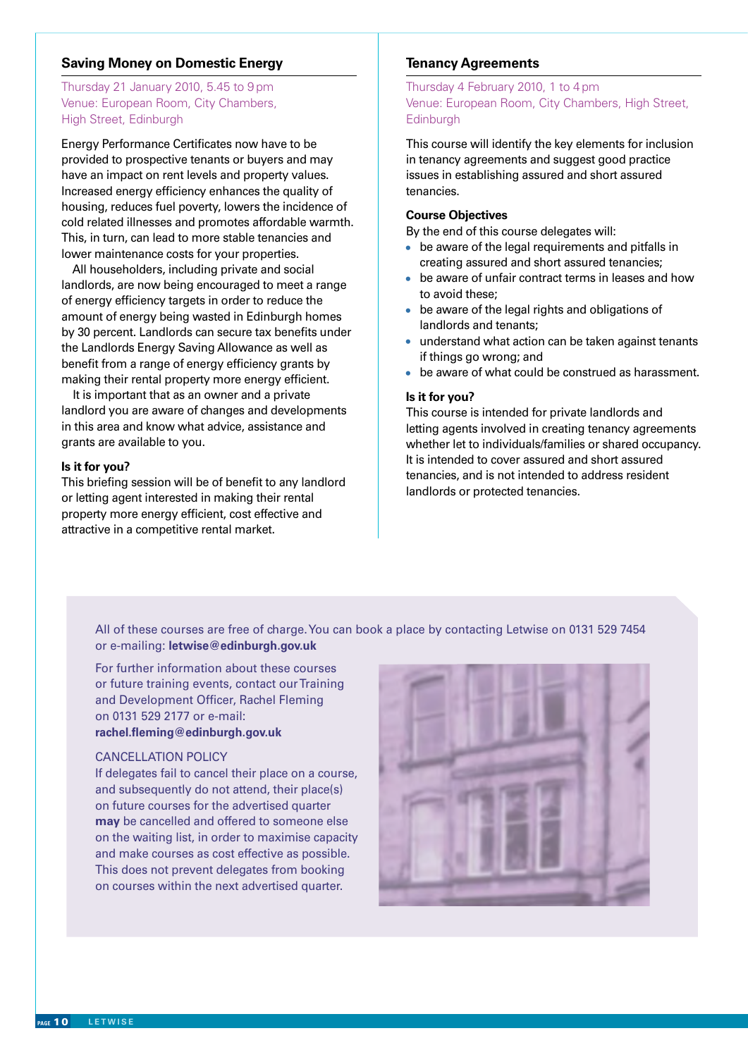#### **Saving Money on Domestic Energy**

#### Thursday 21 January 2010, 5.45 to 9 pm Venue: European Room, City Chambers, High Street, Edinburgh

Energy Performance Certificates now have to be provided to prospective tenants or buyers and may have an impact on rent levels and property values. Increased energy efficiency enhances the quality of housing, reduces fuel poverty, lowers the incidence of cold related illnesses and promotes affordable warmth. This, in turn, can lead to more stable tenancies and lower maintenance costs for your properties.

All householders, including private and social landlords, are now being encouraged to meet a range of energy efficiency targets in order to reduce the amount of energy being wasted in Edinburgh homes by 30 percent. Landlords can secure tax benefits under the Landlords Energy Saving Allowance as well as benefit from a range of energy efficiency grants by making their rental property more energy efficient.

 It is important that as an owner and a private landlord you are aware of changes and developments in this area and know what advice, assistance and grants are available to you.

#### **Is it for you?**

This briefing session will be of benefit to any landlord or letting agent interested in making their rental property more energy efficient, cost effective and attractive in a competitive rental market.

#### **Tenancy Agreements**

Thursday 4 February 2010, 1 to 4 pm Venue: European Room, City Chambers, High Street, **Edinburgh** 

This course will identify the key elements for inclusion in tenancy agreements and suggest good practice issues in establishing assured and short assured tenancies.

#### **Course Objectives**

By the end of this course delegates will:

- be aware of the legal requirements and pitfalls in creating assured and short assured tenancies;
- be aware of unfair contract terms in leases and how to avoid these;
- be aware of the legal rights and obligations of landlords and tenants;
- understand what action can be taken against tenants if things go wrong; and
- be aware of what could be construed as harassment.

#### **Is it for you?**

This course is intended for private landlords and letting agents involved in creating tenancy agreements whether let to individuals/families or shared occupancy. It is intended to cover assured and short assured tenancies, and is not intended to address resident landlords or protected tenancies.

All of these courses are free of charge. You can book a place by contacting Letwise on 0131 529 7454 or e-mailing: **letwise@edinburgh.gov.uk**

For further information about these courses or future training events, contact our Training and Development Officer, Rachel Fleming on 0131 529 2177 or e-mail: **rachel.fleming@edinburgh.gov.uk**

#### **CANCELLATION POLICY**

If delegates fail to cancel their place on a course, and subsequently do not attend, their place(s) on future courses for the advertised quarter **may** be cancelled and offered to someone else on the waiting list, in order to maximise capacity and make courses as cost effective as possible. This does not prevent delegates from booking on courses within the next advertised quarter.

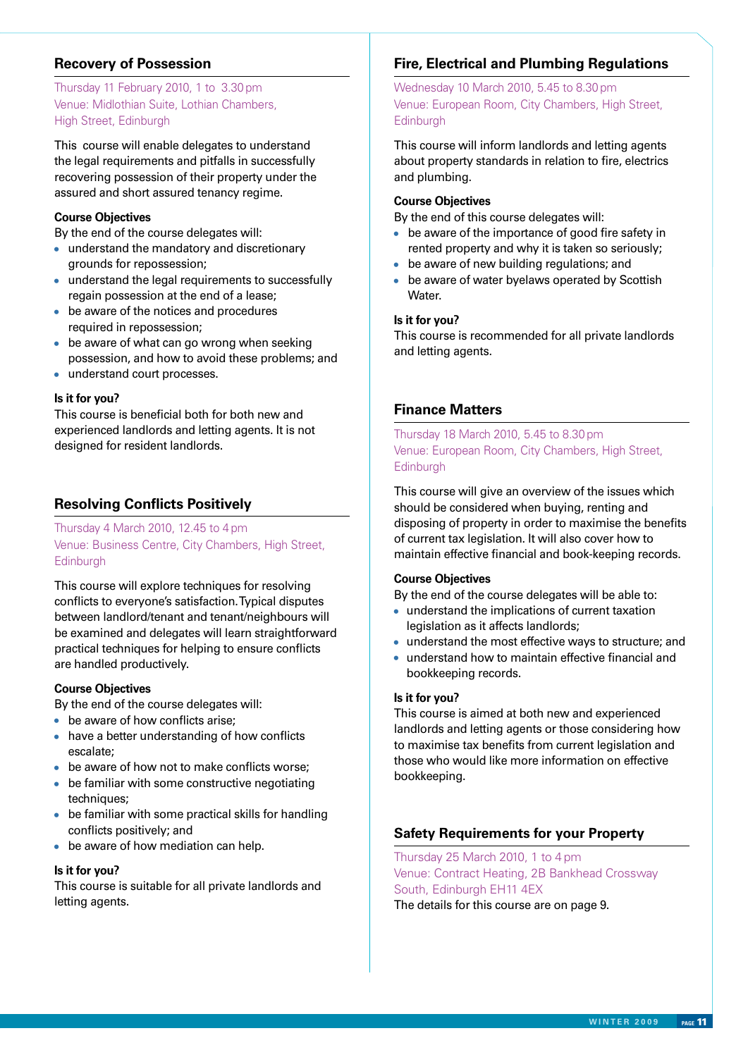#### **Recovery of Possession**

#### Thursday 11 February 2010, 1 to 3.30 pm Venue: Midlothian Suite, Lothian Chambers, High Street, Edinburgh

This course will enable delegates to understand the legal requirements and pitfalls in successfully recovering possession of their property under the assured and short assured tenancy regime.

#### **Course Objectives**

By the end of the course delegates will:

- understand the mandatory and discretionary grounds for repossession;
- understand the legal requirements to successfully regain possession at the end of a lease;
- be aware of the notices and procedures required in repossession;
- be aware of what can go wrong when seeking possession, and how to avoid these problems; and
- understand court processes.

#### **Is it for you?**

This course is beneficial both for both new and experienced landlords and letting agents. It is not designed for resident landlords.

#### **Resolving Conflicts Positively**

Thursday 4 March 2010, 12.45 to 4 pm Venue: Business Centre, City Chambers, High Street, **Edinburgh** 

This course will explore techniques for resolving conflicts to everyone's satisfaction. Typical disputes between landlord/tenant and tenant/neighbours will be examined and delegates will learn straightforward practical techniques for helping to ensure conflicts are handled productively.

#### **Course Objectives**

By the end of the course delegates will:

- be aware of how conflicts arise;
- have a better understanding of how conflicts escalate;
- be aware of how not to make conflicts worse;
- be familiar with some constructive negotiating techniques;
- be familiar with some practical skills for handling conflicts positively; and
- be aware of how mediation can help.

#### **Is it for you?**

This course is suitable for all private landlords and letting agents.

#### **Fire, Electrical and Plumbing Regulations**

Wednesday 10 March 2010, 5.45 to 8.30 pm Venue: European Room, City Chambers, High Street, **Edinburgh** 

This course will inform landlords and letting agents about property standards in relation to fire, electrics and plumbing.

#### **Course Objectives**

By the end of this course delegates will:

- be aware of the importance of good fire safety in rented property and why it is taken so seriously;
- be aware of new building regulations; and
- be aware of water byelaws operated by Scottish Water.

#### **Is it for you?**

This course is recommended for all private landlords and letting agents.

#### **Finance Matters**

Thursday 18 March 2010, 5.45 to 8.30 pm Venue: European Room, City Chambers, High Street, **Edinburgh** 

This course will give an overview of the issues which should be considered when buying, renting and disposing of property in order to maximise the benefits of current tax legislation. It will also cover how to maintain effective financial and book-keeping records.

#### **Course Objectives**

By the end of the course delegates will be able to:

- understand the implications of current taxation legislation as it affects landlords;
- understand the most effective ways to structure; and
- understand how to maintain effective financial and bookkeeping records.

#### **Is it for you?**

This course is aimed at both new and experienced landlords and letting agents or those considering how to maximise tax benefits from current legislation and those who would like more information on effective bookkeeping.

#### **Safety Requirements for your Property**

Thursday 25 March 2010, 1 to 4 pm Venue: Contract Heating, 2B Bankhead Crossway South, Edinburgh EH11 4EX The details for this course are on page 9.

**W IN T E R 2 0 0 9 page** 11